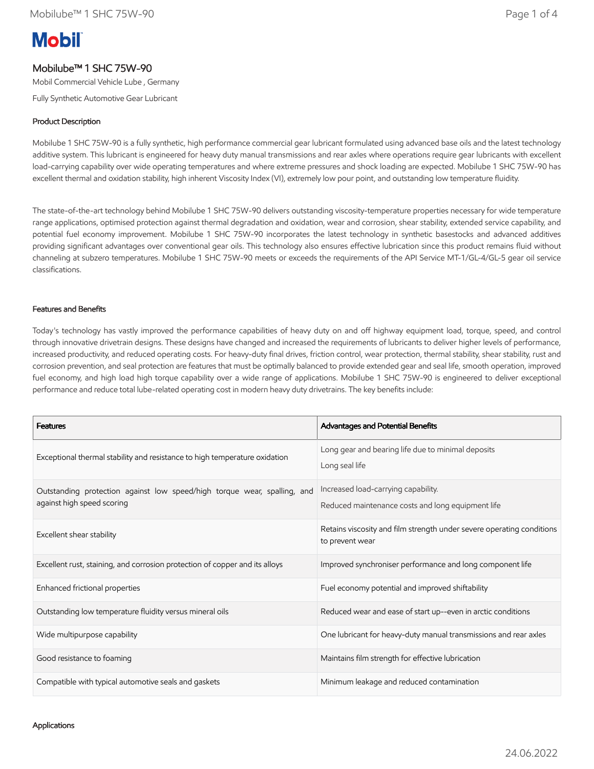# **Mobil**

## Mobilube™ 1 SHC 75W-90

Mobil Commercial Vehicle Lube , Germany

Fully Synthetic Automotive Gear Lubricant

## Product Description

Mobilube 1 SHC 75W-90 is a fully synthetic, high performance commercial gear lubricant formulated using advanced base oils and the latest technology additive system. This lubricant is engineered for heavy duty manual transmissions and rear axles where operations require gear lubricants with excellent load-carrying capability over wide operating temperatures and where extreme pressures and shock loading are expected. Mobilube 1 SHC 75W-90 has excellent thermal and oxidation stability, high inherent Viscosity Index (VI), extremely low pour point, and outstanding low temperature fluidity.

The state-of-the-art technology behind Mobilube 1 SHC 75W-90 delivers outstanding viscosity-temperature properties necessary for wide temperature range applications, optimised protection against thermal degradation and oxidation, wear and corrosion, shear stability, extended service capability, and potential fuel economy improvement. Mobilube 1 SHC 75W-90 incorporates the latest technology in synthetic basestocks and advanced additives providing significant advantages over conventional gear oils. This technology also ensures effective lubrication since this product remains fluid without channeling at subzero temperatures. Mobilube 1 SHC 75W-90 meets or exceeds the requirements of the API Service MT-1/GL-4/GL-5 gear oil service classifications.

## Features and Benefits

Today's technology has vastly improved the performance capabilities of heavy duty on and off highway equipment load, torque, speed, and control through innovative drivetrain designs. These designs have changed and increased the requirements of lubricants to deliver higher levels of performance, increased productivity, and reduced operating costs. For heavy-duty final drives, friction control, wear protection, thermal stability, shear stability, rust and corrosion prevention, and seal protection are features that must be optimally balanced to provide extended gear and seal life, smooth operation, improved fuel economy, and high load high torque capability over a wide range of applications. Mobilube 1 SHC 75W-90 is engineered to deliver exceptional performance and reduce total lube-related operating cost in modern heavy duty drivetrains. The key benefits include:

| <b>Features</b>                                                                                        | Advantages and Potential Benefits                                                        |  |
|--------------------------------------------------------------------------------------------------------|------------------------------------------------------------------------------------------|--|
| Exceptional thermal stability and resistance to high temperature oxidation                             | Long gear and bearing life due to minimal deposits<br>Long seal life                     |  |
| Outstanding protection against low speed/high torque wear, spalling, and<br>against high speed scoring | Increased load-carrying capability.<br>Reduced maintenance costs and long equipment life |  |
| Excellent shear stability                                                                              | Retains viscosity and film strength under severe operating conditions<br>to prevent wear |  |
| Excellent rust, staining, and corrosion protection of copper and its alloys                            | Improved synchroniser performance and long component life                                |  |
| Enhanced frictional properties                                                                         | Fuel economy potential and improved shiftability                                         |  |
| Outstanding low temperature fluidity versus mineral oils                                               | Reduced wear and ease of start up--even in arctic conditions                             |  |
| Wide multipurpose capability                                                                           | One lubricant for heavy-duty manual transmissions and rear axles                         |  |
| Good resistance to foaming                                                                             | Maintains film strength for effective lubrication                                        |  |
| Compatible with typical automotive seals and gaskets                                                   | Minimum leakage and reduced contamination                                                |  |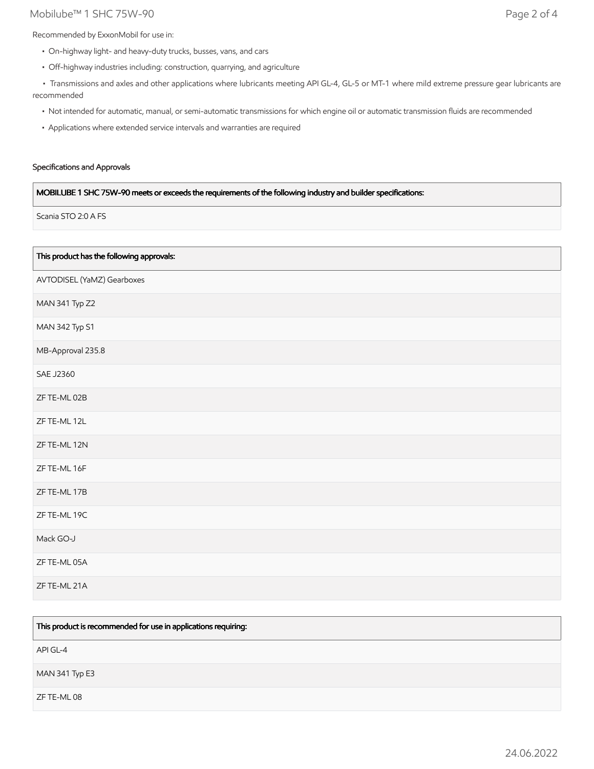## Mobilube™ 1 SHC 75W-90 Page 2 of 4

Recommended by ExxonMobil for use in:

- On-highway light- and heavy-duty trucks, busses, vans, and cars
- Off-highway industries including: construction, quarrying, and agriculture

 • Transmissions and axles and other applications where lubricants meeting API GL-4, GL-5 or MT-1 where mild extreme pressure gear lubricants are recommended

- Not intended for automatic, manual, or semi-automatic transmissions for which engine oil or automatic transmission fluids are recommended
- Applications where extended service intervals and warranties are required

## Specifications and Approvals

## MOBILUBE 1 SHC 75W-90 meets or exceeds the requirements of the following industry and builder specifications:

Scania STO 2:0 A FS

| This product has the following approvals: |
|-------------------------------------------|
| AVTODISEL (YaMZ) Gearboxes                |
| MAN 341 Typ Z2                            |
| MAN 342 Typ S1                            |
| MB-Approval 235.8                         |
| <b>SAE J2360</b>                          |
| ZF TE-ML 02B                              |
| ZF TE-ML 12L                              |
| ZF TE-ML 12N                              |
| ZF TE-ML 16F                              |
| ZF TE-ML 17B                              |
| ZF TE-ML 19C                              |
| Mack GO-J                                 |
| ZF TE-ML 05A                              |
| ZF TE-ML 21A                              |

| This product is recommended for use in applications requiring: |
|----------------------------------------------------------------|
| API GL-4                                                       |
| MAN 341 Typ E3                                                 |
| ZF TE-ML 08                                                    |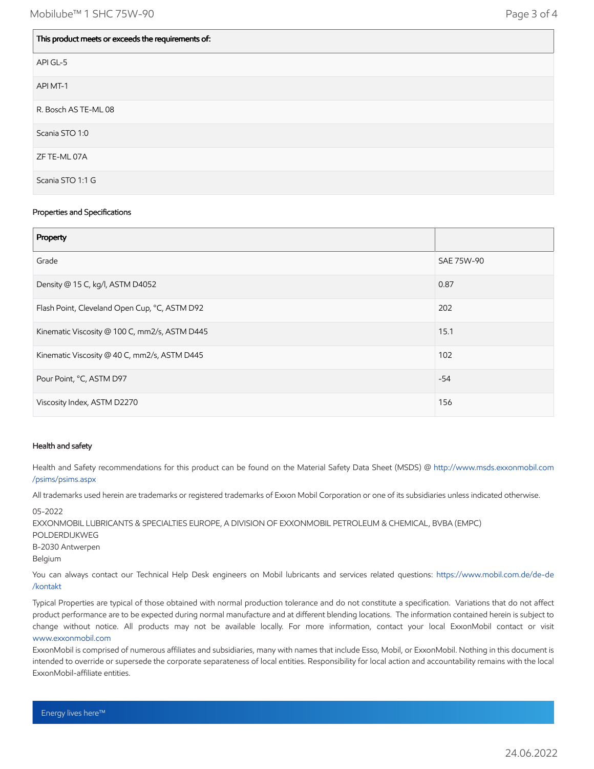$\overline{\phantom{a}}$ 

| This product meets or exceeds the requirements of: |
|----------------------------------------------------|
| API GL-5                                           |
| API MT-1                                           |
| R. Bosch AS TE-ML 08                               |
| Scania STO 1:0                                     |
| ZF TE-ML 07A                                       |
| Scania STO 1:1 G                                   |

#### Properties and Specifications

| Property                                      |            |
|-----------------------------------------------|------------|
| Grade                                         | SAE 75W-90 |
| Density @ 15 C, kg/l, ASTM D4052              | 0.87       |
| Flash Point, Cleveland Open Cup, °C, ASTM D92 | 202        |
| Kinematic Viscosity @ 100 C, mm2/s, ASTM D445 | 15.1       |
| Kinematic Viscosity @ 40 C, mm2/s, ASTM D445  | 102        |
| Pour Point, °C, ASTM D97                      | $-54$      |
| Viscosity Index, ASTM D2270                   | 156        |

#### Health and safety

Health and Safety recommendations for this product can be found on the Material Safety Data Sheet (MSDS) @ [http://www.msds.exxonmobil.com](http://www.msds.exxonmobil.com/psims/psims.aspx) /psims/psims.aspx

All trademarks used herein are trademarks or registered trademarks of Exxon Mobil Corporation or one of its subsidiaries unless indicated otherwise.

05-2022 EXXONMOBIL LUBRICANTS & SPECIALTIES EUROPE, A DIVISION OF EXXONMOBIL PETROLEUM & CHEMICAL, BVBA (EMPC) POLDERDIJKWEG B-2030 Antwerpen Belgium You can always contact our Technical Help Desk engineers on Mobil lubricants and services related questions: [https://www.mobil.com.de/de-de](https://www.mobil.com.de/de-de/kontakt)

/kontakt

Typical Properties are typical of those obtained with normal production tolerance and do not constitute a specification. Variations that do not affect product performance are to be expected during normal manufacture and at different blending locations. The information contained herein is subject to change without notice. All products may not be available locally. For more information, contact your local ExxonMobil contact or visit [www.exxonmobil.com](http://www.exxonmobil.com/)

ExxonMobil is comprised of numerous affiliates and subsidiaries, many with names that include Esso, Mobil, or ExxonMobil. Nothing in this document is intended to override or supersede the corporate separateness of local entities. Responsibility for local action and accountability remains with the local ExxonMobil-affiliate entities.